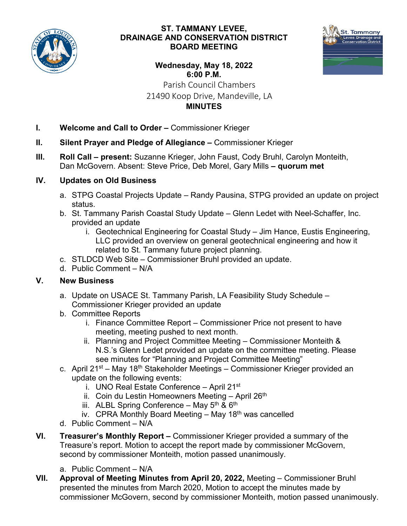

### **ST. TAMMANY LEVEE, DRAINAGE AND CONSERVATION DISTRICT BOARD MEETING**



#### **Wednesday, May 18, 2022 6:00 P.M.** Parish Council Chambers

# 21490 Koop Drive, Mandeville, LA **MINUTES**

- **I. Welcome and Call to Order –** Commissioner Krieger
- **II. Silent Prayer and Pledge of Allegiance –** Commissioner Krieger
- **III. Roll Call – present:** Suzanne Krieger, John Faust, Cody Bruhl, Carolyn Monteith, Dan McGovern. Absent: Steve Price, Deb Morel, Gary Mills **– quorum met**

## **IV. Updates on Old Business**

- a. STPG Coastal Projects Update Randy Pausina, STPG provided an update on project status.
- b. St. Tammany Parish Coastal Study Update Glenn Ledet with Neel-Schaffer, Inc. provided an update
	- i. Geotechnical Engineering for Coastal Study Jim Hance, Eustis Engineering, LLC provided an overview on general geotechnical engineering and how it related to St. Tammany future project planning.
- c. STLDCD Web Site Commissioner Bruhl provided an update.
- d. Public Comment N/A

### **V. New Business**

- a. Update on USACE St. Tammany Parish, LA Feasibility Study Schedule Commissioner Krieger provided an update
- b. Committee Reports
	- i. Finance Committee Report Commissioner Price not present to have meeting, meeting pushed to next month.
	- ii. Planning and Project Committee Meeting Commissioner Monteith & N.S.'s Glenn Ledet provided an update on the committee meeting. Please see minutes for "Planning and Project Committee Meeting"
- c. April 21<sup>st</sup> May 18<sup>th</sup> Stakeholder Meetings Commissioner Krieger provided an update on the following events:
	- i. UNO Real Estate Conference April 21<sup>st</sup>
	- ii. Coin du Lestin Homeowners Meeting April  $26<sup>th</sup>$
	- iii. ALBL Spring Conference May  $5<sup>th</sup>$  &  $6<sup>th</sup>$
	- iv. CPRA Monthly Board Meeting  $-$  May 18<sup>th</sup> was cancelled
- d. Public Comment N/A
- **VI. Treasurer's Monthly Report –** Commissioner Krieger provided a summary of the Treasure's report. Motion to accept the report made by commissioner McGovern, second by commissioner Monteith, motion passed unanimously.
	- a. Public Comment N/A
- **VII. Approval of Meeting Minutes from April 20, 2022,** Meeting Commissioner Bruhl presented the minutes from March 2020, Motion to accept the minutes made by commissioner McGovern, second by commissioner Monteith, motion passed unanimously.